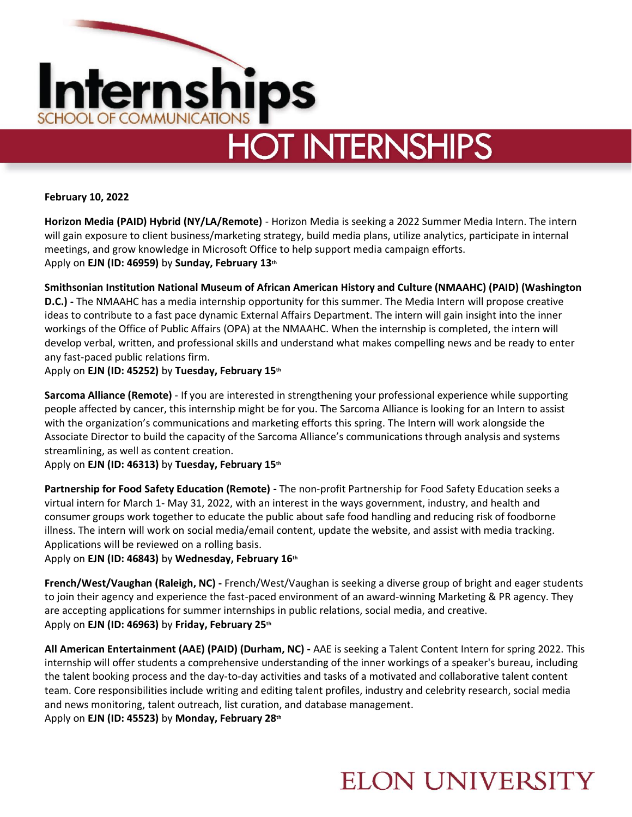

# **HOT INTERNSHIPS**

**February 10, 2022** 

**Horizon Media (PAID) Hybrid (NY/LA/Remote)** - Horizon Media is seeking a 2022 Summer Media Intern. The intern will gain exposure to client business/marketing strategy, build media plans, utilize analytics, participate in internal meetings, and grow knowledge in Microsoft Office to help support media campaign efforts. Apply on **EJN (ID: 46959)** by **Sunday, February 13th**

**Smithsonian Institution National Museum of African American History and Culture (NMAAHC) (PAID) (Washington D.C.) -** The NMAAHC has a media internship opportunity for this summer. The Media Intern will propose creative ideas to contribute to a fast pace dynamic External Affairs Department. The intern will gain insight into the inner workings of the Office of Public Affairs (OPA) at the NMAAHC. When the internship is completed, the intern will develop verbal, written, and professional skills and understand what makes compelling news and be ready to enter any fast-paced public relations firm.

Apply on **EJN (ID: 45252)** by **Tuesday, February 15th**

**Sarcoma Alliance (Remote)** - If you are interested in strengthening your professional experience while supporting people affected by cancer, this internship might be for you. The Sarcoma Alliance is looking for an Intern to assist with the organization's communications and marketing efforts this spring. The Intern will work alongside the Associate Director to build the capacity of the Sarcoma Alliance's communications through analysis and systems streamlining, as well as content creation.

Apply on **EJN (ID: 46313)** by **Tuesday, February 15th**

**Partnership for Food Safety Education (Remote) -** The non-profit Partnership for Food Safety Education seeks a virtual intern for March 1- May 31, 2022, with an interest in the ways government, industry, and health and consumer groups work together to educate the public about safe food handling and reducing risk of foodborne illness. The intern will work on social media/email content, update the website, and assist with media tracking. Applications will be reviewed on a rolling basis.

Apply on **EJN (ID: 46843)** by **Wednesday, February 16th**

**French/West/Vaughan (Raleigh, NC) -** French/West/Vaughan is seeking a diverse group of bright and eager students to join their agency and experience the fast-paced environment of an award-winning Marketing & PR agency. They are accepting applications for summer internships in public relations, social media, and creative. Apply on **EJN (ID: 46963)** by **Friday, February 25th**

**All American Entertainment (AAE) (PAID) (Durham, NC) -** AAE is seeking a Talent Content Intern for spring 2022. This internship will offer students a comprehensive understanding of the inner workings of a speaker's bureau, including the talent booking process and the day-to-day activities and tasks of a motivated and collaborative talent content team. Core responsibilities include writing and editing talent profiles, industry and celebrity research, social media and news monitoring, talent outreach, list curation, and database management. Apply on **EJN (ID: 45523)** by **Monday, February 28th**

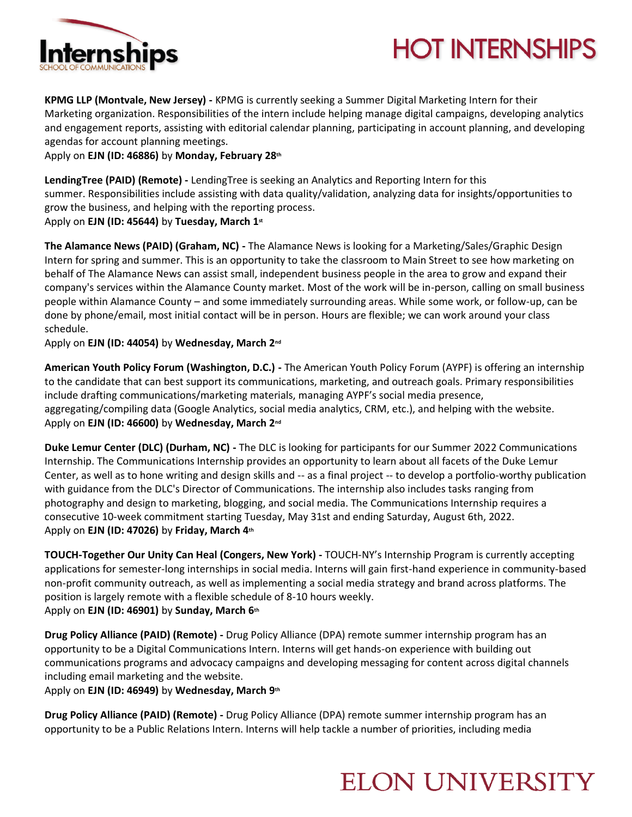

## **HOT INTERNSHIPS**

**KPMG LLP (Montvale, New Jersey) -** KPMG is currently seeking a Summer Digital Marketing Intern for their Marketing organization. Responsibilities of the intern include helping manage digital campaigns, developing analytics and engagement reports, assisting with editorial calendar planning, participating in account planning, and developing agendas for account planning meetings.

Apply on **EJN (ID: 46886)** by **Monday, February 28th**

**LendingTree (PAID) (Remote) -** LendingTree is seeking an Analytics and Reporting Intern for this summer. Responsibilities include assisting with data quality/validation, analyzing data for insights/opportunities to grow the business, and helping with the reporting process.

Apply on **EJN (ID: 45644)** by **Tuesday, March 1st**

**The Alamance News (PAID) (Graham, NC) -** The Alamance News is looking for a Marketing/Sales/Graphic Design Intern for spring and summer. This is an opportunity to take the classroom to Main Street to see how marketing on behalf of The Alamance News can assist small, independent business people in the area to grow and expand their company's services within the Alamance County market. Most of the work will be in-person, calling on small business people within Alamance County – and some immediately surrounding areas. While some work, or follow-up, can be done by phone/email, most initial contact will be in person. Hours are flexible; we can work around your class schedule.

Apply on **EJN (ID: 44054)** by **Wednesday, March 2nd**

**American Youth Policy Forum (Washington, D.C.) -** The American Youth Policy Forum (AYPF) is offering an internship to the candidate that can best support its communications, marketing, and outreach goals. Primary responsibilities include drafting communications/marketing materials, managing AYPF's social media presence, aggregating/compiling data (Google Analytics, social media analytics, CRM, etc.), and helping with the website. Apply on **EJN (ID: 46600)** by **Wednesday, March 2nd**

**Duke Lemur Center (DLC) (Durham, NC) -** The DLC is looking for participants for our Summer 2022 Communications Internship. The Communications Internship provides an opportunity to learn about all facets of the Duke Lemur Center, as well as to hone writing and design skills and -- as a final project -- to develop a portfolio-worthy publication with guidance from the DLC's Director of Communications. The internship also includes tasks ranging from photography and design to marketing, blogging, and social media. The Communications Internship requires a consecutive 10-week commitment starting Tuesday, May 31st and ending Saturday, August 6th, 2022. Apply on **EJN (ID: 47026)** by **Friday, March 4th**

**TOUCH-Together Our Unity Can Heal (Congers, New York) -** TOUCH-NY's Internship Program is currently accepting applications for semester-long internships in social media. Interns will gain first-hand experience in community-based non-profit community outreach, as well as implementing a social media strategy and brand across platforms. The position is largely remote with a flexible schedule of 8-10 hours weekly. Apply on **EJN (ID: 46901)** by **Sunday, March 6th**

**Drug Policy Alliance (PAID) (Remote) -** Drug Policy Alliance (DPA) remote summer internship program has an opportunity to be a Digital Communications Intern. Interns will get hands-on experience with building out communications programs and advocacy campaigns and developing messaging for content across digital channels including email marketing and the website.

Apply on **EJN (ID: 46949)** by **Wednesday, March 9th**

**Drug Policy Alliance (PAID) (Remote) -** Drug Policy Alliance (DPA) remote summer internship program has an opportunity to be a Public Relations Intern. Interns will help tackle a number of priorities, including media

#### **ELON UNIVERSITY**